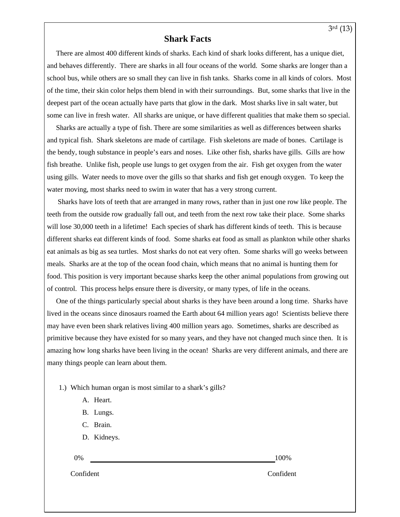## **Shark Facts**

 There are almost 400 different kinds of sharks. Each kind of shark looks different, has a unique diet, and behaves differently. There are sharks in all four oceans of the world. Some sharks are longer than a school bus, while others are so small they can live in fish tanks. Sharks come in all kinds of colors. Most of the time, their skin color helps them blend in with their surroundings. But, some sharks that live in the deepest part of the ocean actually have parts that glow in the dark. Most sharks live in salt water, but some can live in fresh water. All sharks are unique, or have different qualities that make them so special.

 Sharks are actually a type of fish. There are some similarities as well as differences between sharks and typical fish. Shark skeletons are made of cartilage. Fish skeletons are made of bones. Cartilage is the bendy, tough substance in people's ears and noses. Like other fish, sharks have gills. Gills are how fish breathe. Unlike fish, people use lungs to get oxygen from the air. Fish get oxygen from the water using gills. Water needs to move over the gills so that sharks and fish get enough oxygen. To keep the water moving, most sharks need to swim in water that has a very strong current.

 Sharks have lots of teeth that are arranged in many rows, rather than in just one row like people. The teeth from the outside row gradually fall out, and teeth from the next row take their place. Some sharks will lose 30,000 teeth in a lifetime! Each species of shark has different kinds of teeth. This is because different sharks eat different kinds of food. Some sharks eat food as small as plankton while other sharks eat animals as big as sea turtles. Most sharks do not eat very often. Some sharks will go weeks between meals. Sharks are at the top of the ocean food chain, which means that no animal is hunting them for food. This position is very important because sharks keep the other animal populations from growing out of control. This process helps ensure there is diversity, or many types, of life in the oceans.

 One of the things particularly special about sharks is they have been around a long time. Sharks have lived in the oceans since dinosaurs roamed the Earth about 64 million years ago! Scientists believe there may have even been shark relatives living 400 million years ago. Sometimes, sharks are described as primitive because they have existed for so many years, and they have not changed much since then. It is amazing how long sharks have been living in the ocean! Sharks are very different animals, and there are many things people can learn about them.

1.) Which human organ is most similar to a shark's gills?

- A. Heart.
- B. Lungs.
- C. Brain.
- D. Kidneys.
- 

0% 100%

Confident Confident